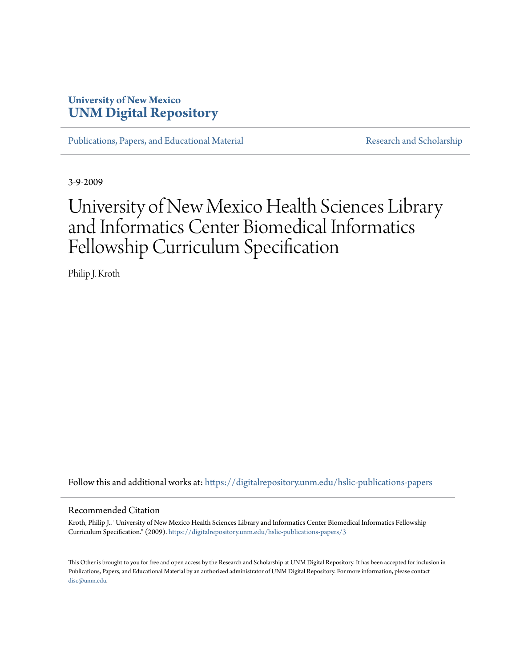## **University of New Mexico [UNM Digital Repository](https://digitalrepository.unm.edu?utm_source=digitalrepository.unm.edu%2Fhslic-publications-papers%2F3&utm_medium=PDF&utm_campaign=PDFCoverPages)**

[Publications, Papers, and Educational Material](https://digitalrepository.unm.edu/hslic-publications-papers?utm_source=digitalrepository.unm.edu%2Fhslic-publications-papers%2F3&utm_medium=PDF&utm_campaign=PDFCoverPages) [Research and Scholarship](https://digitalrepository.unm.edu/hslic-research-scholarship?utm_source=digitalrepository.unm.edu%2Fhslic-publications-papers%2F3&utm_medium=PDF&utm_campaign=PDFCoverPages)

3-9-2009

## University of New Mexico Health Sciences Library and Informatics Center Biomedical Informatics Fellowship Curriculum Specification

Philip J. Kroth

Follow this and additional works at: [https://digitalrepository.unm.edu/hslic-publications-papers](https://digitalrepository.unm.edu/hslic-publications-papers?utm_source=digitalrepository.unm.edu%2Fhslic-publications-papers%2F3&utm_medium=PDF&utm_campaign=PDFCoverPages)

## Recommended Citation

Kroth, Philip J.. "University of New Mexico Health Sciences Library and Informatics Center Biomedical Informatics Fellowship Curriculum Specification." (2009). [https://digitalrepository.unm.edu/hslic-publications-papers/3](https://digitalrepository.unm.edu/hslic-publications-papers/3?utm_source=digitalrepository.unm.edu%2Fhslic-publications-papers%2F3&utm_medium=PDF&utm_campaign=PDFCoverPages)

This Other is brought to you for free and open access by the Research and Scholarship at UNM Digital Repository. It has been accepted for inclusion in Publications, Papers, and Educational Material by an authorized administrator of UNM Digital Repository. For more information, please contact [disc@unm.edu](mailto:disc@unm.edu).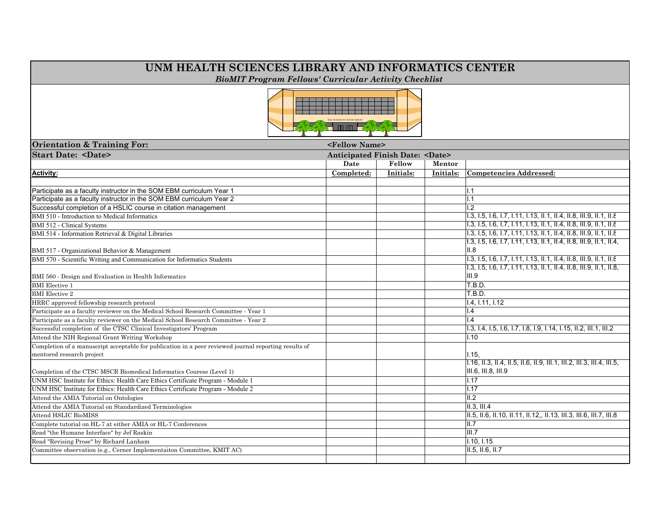| UNM HEALTH SCIENCES LIBRARY AND INFORMATICS CENTER<br><b>BioMIT Program Fellows' Curricular Activity Checklist</b> |                                               |           |           |                                                                               |  |
|--------------------------------------------------------------------------------------------------------------------|-----------------------------------------------|-----------|-----------|-------------------------------------------------------------------------------|--|
| a mm Fái                                                                                                           |                                               |           |           |                                                                               |  |
| <b>Orientation &amp; Training For:</b>                                                                             | <fellow name=""></fellow>                     |           |           |                                                                               |  |
| <b>Start Date: <date></date></b>                                                                                   | <b>Anticipated Finish Date: <date></date></b> |           |           |                                                                               |  |
|                                                                                                                    | Date                                          | Fellow    | Mentor    |                                                                               |  |
| <b>Activity:</b>                                                                                                   | Completed:                                    | Initials: | Initials: | <b>Competencies Addressed:</b>                                                |  |
|                                                                                                                    |                                               |           |           |                                                                               |  |
| Participate as a faculty instructor in the SOM EBM curriculum Year 1                                               |                                               |           |           | L <sub>1</sub>                                                                |  |
| Participate as a faculty instructor in the SOM EBM curriculum Year 2                                               |                                               |           |           | L <sub>1</sub>                                                                |  |
| Successful completion of a HSLIC course in citation management                                                     |                                               |           |           | 1.2                                                                           |  |
| BMI 510 - Introduction to Medical Informatics                                                                      |                                               |           |           | 1.3, 1.5, 1.6, 1.7, 1.11, 1.13, 11.1, 11.4, 11.8, 111.9, 11.1, 11.8           |  |
| <b>BMI 512 - Clinical Systems</b>                                                                                  |                                               |           |           | I.3, I.5, I.6, I.7, I.11, I.13, II.1, II.4, II.8, III.9, II.1, II.8           |  |
| BMI 514 - Information Retrieval & Digital Libraries                                                                |                                               |           |           | I.3, I.5, I.6, I.7, I.11, I.13, II.1, II.4, II.8, III.9, II.1, II.8           |  |
|                                                                                                                    |                                               |           |           | 1.3, 1.5, 1.6, 1.7, 1.11, 1.13, 11.1, 11.4, 11.8, 111.9, 11.1, 11.4,          |  |
| BMI 517 - Organizational Behavior & Management                                                                     |                                               |           |           | II.8                                                                          |  |
| BMI 570 - Scientific Writing and Communication for Informatics Students                                            |                                               |           |           | I.3, I.5, I.6, I.7, I.11, I.13, II.1, II.4, II.8, III.9, II.1, II.8           |  |
| BMI 560 - Design and Evaluation in Health Informatics                                                              |                                               |           |           | I.3, I.5, I.6, I.7, I.11, I.13, II.1, II.4, II.8, III.9, II.1, II.8,<br>III.9 |  |
| <b>BMI</b> Elective 1                                                                                              |                                               |           |           | T.B.D.                                                                        |  |
| <b>BMI</b> Elective 2                                                                                              |                                               |           |           | T.B.D.                                                                        |  |
| HRRC approved fellowship research protocol                                                                         |                                               |           |           | 1.4, 1.11, 1.12                                                               |  |
| Participate as a faculty reviewer on the Medical School Research Committee - Year 1                                |                                               |           |           | .4                                                                            |  |
| Participate as a faculty reviewer on the Medical School Research Committee - Year 2                                |                                               |           |           | $\overline{4}$                                                                |  |
| Successful completion of the CTSC Clinical Investigators' Program                                                  |                                               |           |           | I.3, I.4, I.5, I.6, I.7, I.8, I.9, I.14, I.15, II.2, III.1, III.2             |  |
| Attend the NIH Regional Grant Writing Workshop                                                                     |                                               |           |           | 1.10                                                                          |  |
| Completion of a manuscript acceptable for publication in a peer reviewed journal reporting results of              |                                               |           |           |                                                                               |  |
| mentored research project                                                                                          |                                               |           |           | l.15.                                                                         |  |
|                                                                                                                    |                                               |           |           | I.16, II.3, II.4, II.5, II.6, II.9, III.1, III.2, III.3, III.4, III.5,        |  |
| Completion of the CTSC MSCR Biomedical Informatics Courese (Level 1)                                               |                                               |           |           | III.6, III.8, III.9                                                           |  |
| UNM HSC Institute for Ethics: Health Care Ethics Certificate Program - Module 1                                    |                                               |           |           | 1.17                                                                          |  |
| UNM HSC Institute for Ethics: Health Care Ethics Certificate Program - Module 2                                    |                                               |           |           | 1.17                                                                          |  |
| Attend the AMIA Tutorial on Ontologies                                                                             |                                               |           |           | II.2                                                                          |  |
| Attend the AMIA Tutorial on Standardized Terminologies                                                             |                                               |           |           | II.3. III.4                                                                   |  |
| Attend HSLIC BioMISS                                                                                               |                                               |           |           | II.5, II.6, II.10, II.11, II.12,, II.13, III.3, III.6, III.7, III.8           |  |
| Complete tutorial on HL-7 at either AMIA or HL-7 Conferences                                                       |                                               |           |           | II.7                                                                          |  |
| Read "the Humane Interface" by Jef Raskin                                                                          |                                               |           |           | III.7                                                                         |  |
| Read "Revising Prose" by Richard Lanham                                                                            |                                               |           |           | 1.10, 1.15                                                                    |  |
| Committee observation (e.g., Cerner Implementaiton Committee, KMIT AC)                                             |                                               |           |           | II.5, II.6, II.7                                                              |  |
|                                                                                                                    |                                               |           |           |                                                                               |  |